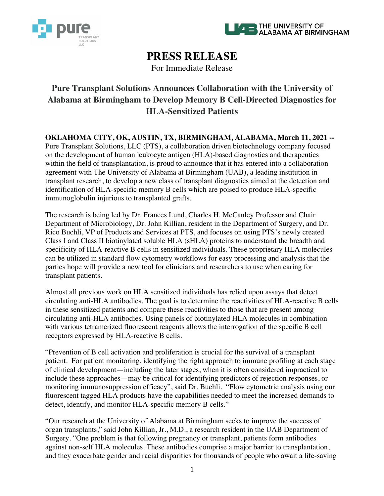



# **PRESS RELEASE**

For Immediate Release

# **Pure Transplant Solutions Announces Collaboration with the University of Alabama at Birmingham to Develop Memory B Cell-Directed Diagnostics for HLA-Sensitized Patients**

**OKLAHOMA CITY, OK, AUSTIN, TX, BIRMINGHAM, ALABAMA, March 11, 2021 --** Pure Transplant Solutions, LLC (PTS), a collaboration driven biotechnology company focused on the development of human leukocyte antigen (HLA)-based diagnostics and therapeutics within the field of transplantation, is proud to announce that it has entered into a collaboration agreement with The University of Alabama at Birmingham (UAB), a leading institution in transplant research, to develop a new class of transplant diagnostics aimed at the detection and identification of HLA-specific memory B cells which are poised to produce HLA-specific immunoglobulin injurious to transplanted grafts.

The research is being led by Dr. Frances Lund, Charles H. McCauley Professor and Chair Department of Microbiology, Dr. John Killian, resident in the Department of Surgery, and Dr. Rico Buchli, VP of Products and Services at PTS, and focuses on using PTS's newly created Class I and Class II biotinylated soluble HLA (sHLA) proteins to understand the breadth and specificity of HLA-reactive B cells in sensitized individuals. These proprietary HLA molecules can be utilized in standard flow cytometry workflows for easy processing and analysis that the parties hope will provide a new tool for clinicians and researchers to use when caring for transplant patients.

Almost all previous work on HLA sensitized individuals has relied upon assays that detect circulating anti-HLA antibodies. The goal is to determine the reactivities of HLA-reactive B cells in these sensitized patients and compare these reactivities to those that are present among circulating anti-HLA antibodies. Using panels of biotinylated HLA molecules in combination with various tetramerized fluorescent reagents allows the interrogation of the specific B cell receptors expressed by HLA-reactive B cells.

"Prevention of B cell activation and proliferation is crucial for the survival of a transplant patient. For patient monitoring, identifying the right approach to immune profiling at each stage of clinical development—including the later stages, when it is often considered impractical to include these approaches—may be critical for identifying predictors of rejection responses, or monitoring immunosuppression efficacy", said Dr. Buchli. "Flow cytometric analysis using our fluorescent tagged HLA products have the capabilities needed to meet the increased demands to detect, identify, and monitor HLA-specific memory B cells."

"Our research at the University of Alabama at Birmingham seeks to improve the success of organ transplants," said John Killian, Jr., M.D., a research resident in the UAB Department of Surgery. "One problem is that following pregnancy or transplant, patients form antibodies against non-self HLA molecules. These antibodies comprise a major barrier to transplantation, and they exacerbate gender and racial disparities for thousands of people who await a life-saving